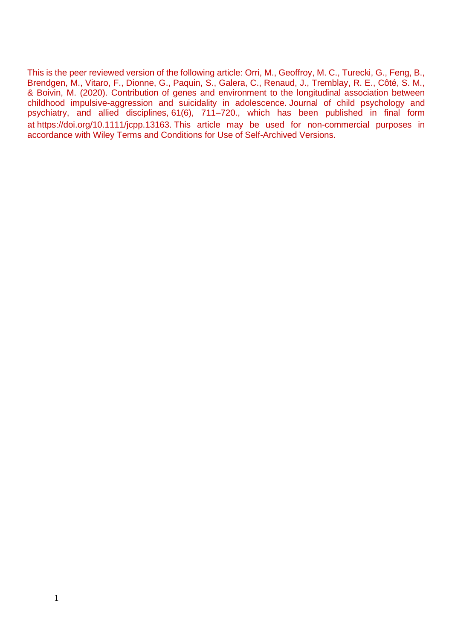This is the peer reviewed version of the following article: Orri, M., Geoffroy, M. C., Turecki, G., Feng, B., Brendgen, M., Vitaro, F., Dionne, G., Paquin, S., Galera, C., Renaud, J., Tremblay, R. E., Côté, S. M., & Boivin, M. (2020). Contribution of genes and environment to the longitudinal association between childhood impulsive-aggression and suicidality in adolescence. Journal of child psychology and psychiatry, and allied disciplines, 61(6), 711–720., which has been published in final form at [https://doi.org/10.1111/jcpp.13163.](https://doi.org/10.1111/jcpp.13163) This article may be used for non-commercial purposes in accordance with Wiley Terms and Conditions for Use of Self-Archived Versions.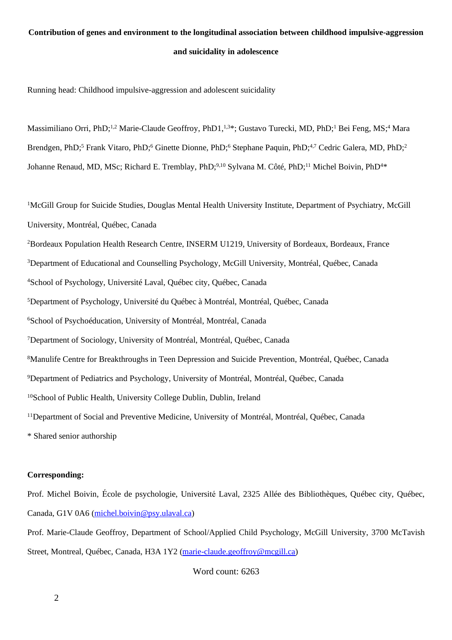## **Contribution of genes and environment to the longitudinal association between childhood impulsive-aggression and suicidality in adolescence**

Running head: Childhood impulsive-aggression and adolescent suicidality

Massimiliano Orri. PhD:<sup>1,2</sup> Marie-Claude Geoffroy, PhD1,<sup>1,3\*</sup>; Gustavo Turecki, MD, PhD;<sup>1</sup> Bei Feng, MS;<sup>4</sup> Mara Brendgen, PhD;<sup>5</sup> Frank Vitaro, PhD;<sup>6</sup> Ginette Dionne, PhD;<sup>6</sup> Stephane Paquin, PhD;<sup>4,7</sup> Cedric Galera, MD, PhD;<sup>2</sup> Johanne Renaud, MD, MSc; Richard E. Tremblay, PhD;<sup>9,10</sup> Sylvana M. Côté, PhD;<sup>11</sup> Michel Boivin, PhD<sup>4\*</sup>

<sup>1</sup>McGill Group for Suicide Studies, Douglas Mental Health University Institute, Department of Psychiatry, McGill University, Montréal, Québec, Canada

Bordeaux Population Health Research Centre, INSERM U1219, University of Bordeaux, Bordeaux, France Department of Educational and Counselling Psychology, McGill University, Montréal, Québec, Canada School of Psychology, Université Laval, Québec city, Québec, Canada Department of Psychology, Université du Québec à Montréal, Montréal, Québec, Canada <sup>6</sup>School of Psychoéducation, University of Montréal, Montréal, Canada Department of Sociology, University of Montréal, Montréal, Québec, Canada Manulife Centre for Breakthroughs in Teen Depression and Suicide Prevention, Montréal, Québec, Canada Department of Pediatrics and Psychology, University of Montréal, Montréal, Québec, Canada School of Public Health, University College Dublin, Dublin, Ireland <sup>11</sup>Department of Social and Preventive Medicine, University of Montréal, Montréal, Québec, Canada \* Shared senior authorship

#### **Corresponding:**

Prof. Michel Boivin, École de psychologie, Université Laval, 2325 Allée des Bibliothèques, Québec city, Québec, Canada, G1V 0A6 [\(michel.boivin@psy.ulaval.ca\)](mailto:michel.boivin@psy.ulaval.ca)

Prof. Marie-Claude Geoffroy, Department of School/Applied Child Psychology, McGill University, 3700 McTavish Street, Montreal, Québec, Canada, H3A 1Y2 [\(marie-claude.geoffroy@mcgill.ca\)](mailto:marie-claude.geoffroy@mcgill.ca)

Word count: 6263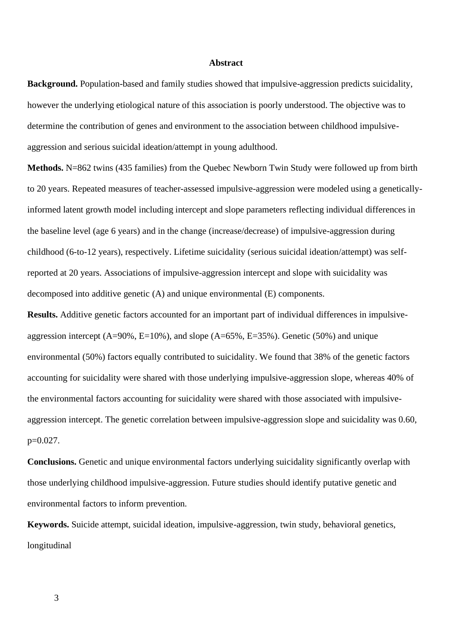#### **Abstract**

**Background.** Population-based and family studies showed that impulsive-aggression predicts suicidality, however the underlying etiological nature of this association is poorly understood. The objective was to determine the contribution of genes and environment to the association between childhood impulsiveaggression and serious suicidal ideation/attempt in young adulthood.

**Methods.** N=862 twins (435 families) from the Quebec Newborn Twin Study were followed up from birth to 20 years. Repeated measures of teacher-assessed impulsive-aggression were modeled using a geneticallyinformed latent growth model including intercept and slope parameters reflecting individual differences in the baseline level (age 6 years) and in the change (increase/decrease) of impulsive-aggression during childhood (6-to-12 years), respectively. Lifetime suicidality (serious suicidal ideation/attempt) was selfreported at 20 years. Associations of impulsive-aggression intercept and slope with suicidality was decomposed into additive genetic (A) and unique environmental (E) components.

**Results.** Additive genetic factors accounted for an important part of individual differences in impulsiveaggression intercept (A=90%, E=10%), and slope (A=65%, E=35%). Genetic (50%) and unique environmental (50%) factors equally contributed to suicidality. We found that 38% of the genetic factors accounting for suicidality were shared with those underlying impulsive-aggression slope, whereas 40% of the environmental factors accounting for suicidality were shared with those associated with impulsiveaggression intercept. The genetic correlation between impulsive-aggression slope and suicidality was 0.60, p=0.027.

**Conclusions.** Genetic and unique environmental factors underlying suicidality significantly overlap with those underlying childhood impulsive-aggression. Future studies should identify putative genetic and environmental factors to inform prevention.

**Keywords.** Suicide attempt, suicidal ideation, impulsive-aggression, twin study, behavioral genetics, longitudinal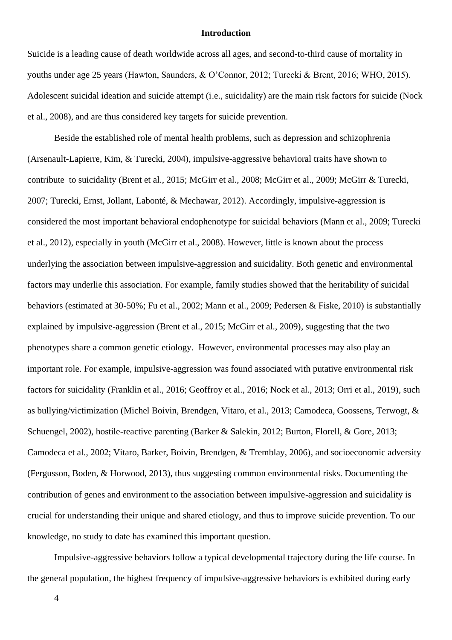#### **Introduction**

Suicide is a leading cause of death worldwide across all ages, and second-to-third cause of mortality in youths under age 25 years (Hawton, Saunders, & O'Connor, 2012; Turecki & Brent, 2016; WHO, 2015). Adolescent suicidal ideation and suicide attempt (i.e., suicidality) are the main risk factors for suicide (Nock et al., 2008), and are thus considered key targets for suicide prevention.

Beside the established role of mental health problems, such as depression and schizophrenia (Arsenault-Lapierre, Kim, & Turecki, 2004), impulsive-aggressive behavioral traits have shown to contribute to suicidality (Brent et al., 2015; McGirr et al., 2008; McGirr et al., 2009; McGirr & Turecki, 2007; Turecki, Ernst, Jollant, Labonté, & Mechawar, 2012). Accordingly, impulsive-aggression is considered the most important behavioral endophenotype for suicidal behaviors (Mann et al., 2009; Turecki et al., 2012), especially in youth (McGirr et al., 2008). However, little is known about the process underlying the association between impulsive-aggression and suicidality. Both genetic and environmental factors may underlie this association. For example, family studies showed that the heritability of suicidal behaviors (estimated at 30-50%; Fu et al., 2002; Mann et al., 2009; Pedersen & Fiske, 2010) is substantially explained by impulsive-aggression (Brent et al., 2015; McGirr et al., 2009), suggesting that the two phenotypes share a common genetic etiology. However, environmental processes may also play an important role. For example, impulsive-aggression was found associated with putative environmental risk factors for suicidality (Franklin et al., 2016; Geoffroy et al., 2016; Nock et al., 2013; Orri et al., 2019), such as bullying/victimization (Michel Boivin, Brendgen, Vitaro, et al., 2013; Camodeca, Goossens, Terwogt, & Schuengel, 2002), hostile-reactive parenting (Barker & Salekin, 2012; Burton, Florell, & Gore, 2013; Camodeca et al., 2002; Vitaro, Barker, Boivin, Brendgen, & Tremblay, 2006), and socioeconomic adversity (Fergusson, Boden, & Horwood, 2013), thus suggesting common environmental risks. Documenting the contribution of genes and environment to the association between impulsive-aggression and suicidality is crucial for understanding their unique and shared etiology, and thus to improve suicide prevention. To our knowledge, no study to date has examined this important question.

Impulsive-aggressive behaviors follow a typical developmental trajectory during the life course. In the general population, the highest frequency of impulsive-aggressive behaviors is exhibited during early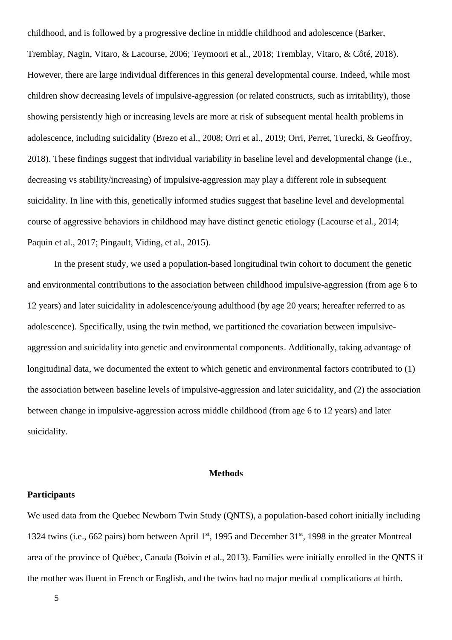childhood, and is followed by a progressive decline in middle childhood and adolescence (Barker, Tremblay, Nagin, Vitaro, & Lacourse, 2006; Teymoori et al., 2018; Tremblay, Vitaro, & Côté, 2018). However, there are large individual differences in this general developmental course. Indeed, while most children show decreasing levels of impulsive-aggression (or related constructs, such as irritability), those showing persistently high or increasing levels are more at risk of subsequent mental health problems in adolescence, including suicidality (Brezo et al., 2008; Orri et al., 2019; Orri, Perret, Turecki, & Geoffroy, 2018). These findings suggest that individual variability in baseline level and developmental change (i.e., decreasing vs stability/increasing) of impulsive-aggression may play a different role in subsequent suicidality. In line with this, genetically informed studies suggest that baseline level and developmental course of aggressive behaviors in childhood may have distinct genetic etiology (Lacourse et al., 2014; Paquin et al., 2017; Pingault, Viding, et al., 2015).

In the present study, we used a population-based longitudinal twin cohort to document the genetic and environmental contributions to the association between childhood impulsive-aggression (from age 6 to 12 years) and later suicidality in adolescence/young adulthood (by age 20 years; hereafter referred to as adolescence). Specifically, using the twin method, we partitioned the covariation between impulsiveaggression and suicidality into genetic and environmental components. Additionally, taking advantage of longitudinal data, we documented the extent to which genetic and environmental factors contributed to (1) the association between baseline levels of impulsive-aggression and later suicidality, and (2) the association between change in impulsive-aggression across middle childhood (from age 6 to 12 years) and later suicidality.

#### **Methods**

#### **Participants**

We used data from the Quebec Newborn Twin Study (QNTS), a population-based cohort initially including 1324 twins (i.e., 662 pairs) born between April 1<sup>st</sup>, 1995 and December 31<sup>st</sup>, 1998 in the greater Montreal area of the province of Québec, Canada (Boivin et al., 2013). Families were initially enrolled in the QNTS if the mother was fluent in French or English, and the twins had no major medical complications at birth.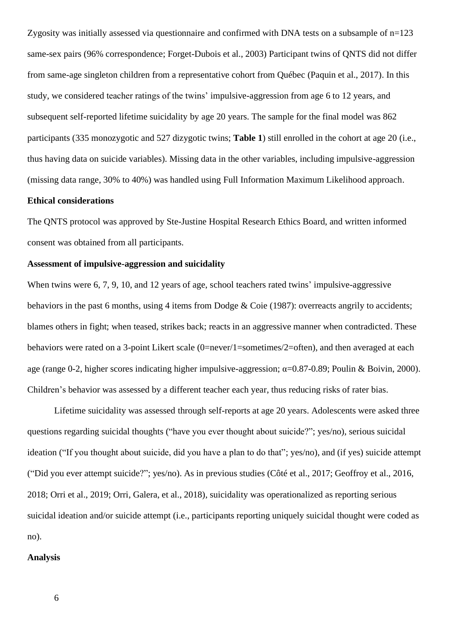Zygosity was initially assessed via questionnaire and confirmed with DNA tests on a subsample of n=123 same-sex pairs (96% correspondence; Forget-Dubois et al., 2003) Participant twins of QNTS did not differ from same-age singleton children from a representative cohort from Québec (Paquin et al., 2017). In this study, we considered teacher ratings of the twins' impulsive-aggression from age 6 to 12 years, and subsequent self-reported lifetime suicidality by age 20 years. The sample for the final model was 862 participants (335 monozygotic and 527 dizygotic twins; **Table 1**) still enrolled in the cohort at age 20 (i.e., thus having data on suicide variables). Missing data in the other variables, including impulsive-aggression (missing data range, 30% to 40%) was handled using Full Information Maximum Likelihood approach.

### **Ethical considerations**

The QNTS protocol was approved by Ste-Justine Hospital Research Ethics Board, and written informed consent was obtained from all participants.

#### **Assessment of impulsive-aggression and suicidality**

When twins were 6, 7, 9, 10, and 12 years of age, school teachers rated twins' impulsive-aggressive behaviors in the past 6 months, using 4 items from Dodge & Coie (1987): overreacts angrily to accidents; blames others in fight; when teased, strikes back; reacts in an aggressive manner when contradicted. These behaviors were rated on a 3-point Likert scale (0=never/1=sometimes/2=often), and then averaged at each age (range 0-2, higher scores indicating higher impulsive-aggression; α=0.87-0.89; Poulin & Boivin, 2000). Children's behavior was assessed by a different teacher each year, thus reducing risks of rater bias.

Lifetime suicidality was assessed through self-reports at age 20 years. Adolescents were asked three questions regarding suicidal thoughts ("have you ever thought about suicide?"; yes/no), serious suicidal ideation ("If you thought about suicide, did you have a plan to do that"; yes/no), and (if yes) suicide attempt ("Did you ever attempt suicide?"; yes/no). As in previous studies (Côté et al., 2017; Geoffroy et al., 2016, 2018; Orri et al., 2019; Orri, Galera, et al., 2018), suicidality was operationalized as reporting serious suicidal ideation and/or suicide attempt (i.e., participants reporting uniquely suicidal thought were coded as no).

#### **Analysis**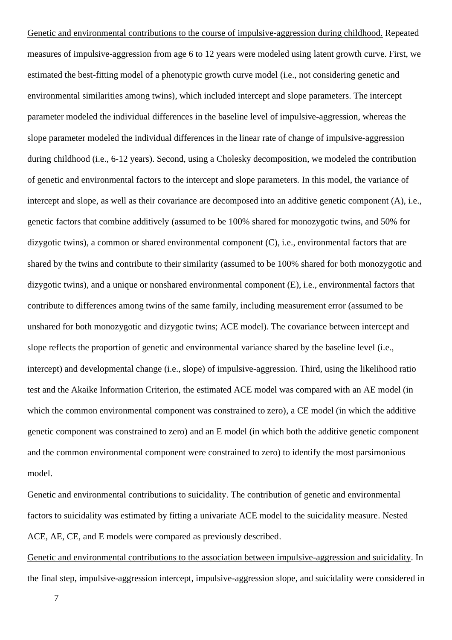Genetic and environmental contributions to the course of impulsive-aggression during childhood. Repeated measures of impulsive-aggression from age 6 to 12 years were modeled using latent growth curve. First, we estimated the best-fitting model of a phenotypic growth curve model (i.e., not considering genetic and environmental similarities among twins), which included intercept and slope parameters. The intercept parameter modeled the individual differences in the baseline level of impulsive-aggression, whereas the slope parameter modeled the individual differences in the linear rate of change of impulsive-aggression during childhood (i.e., 6-12 years). Second, using a Cholesky decomposition, we modeled the contribution of genetic and environmental factors to the intercept and slope parameters. In this model, the variance of intercept and slope, as well as their covariance are decomposed into an additive genetic component (A), i.e., genetic factors that combine additively (assumed to be 100% shared for monozygotic twins, and 50% for dizygotic twins), a common or shared environmental component (C), i.e., environmental factors that are shared by the twins and contribute to their similarity (assumed to be 100% shared for both monozygotic and dizygotic twins), and a unique or nonshared environmental component (E), i.e., environmental factors that contribute to differences among twins of the same family, including measurement error (assumed to be unshared for both monozygotic and dizygotic twins; ACE model). The covariance between intercept and slope reflects the proportion of genetic and environmental variance shared by the baseline level (i.e., intercept) and developmental change (i.e., slope) of impulsive-aggression. Third, using the likelihood ratio test and the Akaike Information Criterion, the estimated ACE model was compared with an AE model (in which the common environmental component was constrained to zero), a CE model (in which the additive genetic component was constrained to zero) and an E model (in which both the additive genetic component and the common environmental component were constrained to zero) to identify the most parsimonious model.

Genetic and environmental contributions to suicidality. The contribution of genetic and environmental factors to suicidality was estimated by fitting a univariate ACE model to the suicidality measure. Nested ACE, AE, CE, and E models were compared as previously described.

Genetic and environmental contributions to the association between impulsive-aggression and suicidality. In the final step, impulsive-aggression intercept, impulsive-aggression slope, and suicidality were considered in

7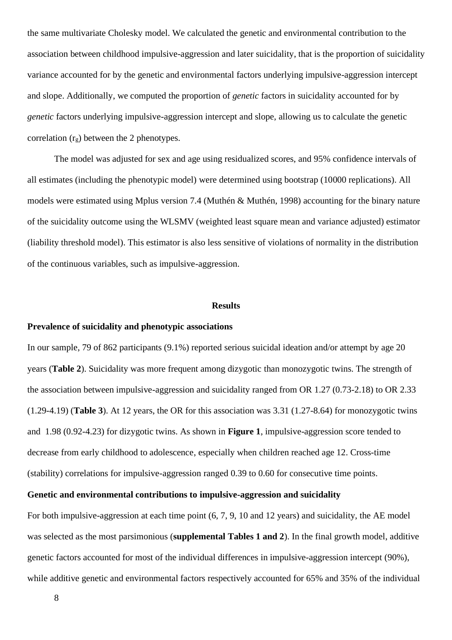the same multivariate Cholesky model. We calculated the genetic and environmental contribution to the association between childhood impulsive-aggression and later suicidality, that is the proportion of suicidality variance accounted for by the genetic and environmental factors underlying impulsive-aggression intercept and slope. Additionally, we computed the proportion of *genetic* factors in suicidality accounted for by *genetic* factors underlying impulsive-aggression intercept and slope, allowing us to calculate the genetic correlation  $(r<sub>o</sub>)$  between the 2 phenotypes.

The model was adjusted for sex and age using residualized scores, and 95% confidence intervals of all estimates (including the phenotypic model) were determined using bootstrap (10000 replications). All models were estimated using Mplus version 7.4 (Muthén & Muthén, 1998) accounting for the binary nature of the suicidality outcome using the WLSMV (weighted least square mean and variance adjusted) estimator (liability threshold model). This estimator is also less sensitive of violations of normality in the distribution of the continuous variables, such as impulsive-aggression.

#### **Results**

#### **Prevalence of suicidality and phenotypic associations**

In our sample, 79 of 862 participants (9.1%) reported serious suicidal ideation and/or attempt by age 20 years (**Table 2**). Suicidality was more frequent among dizygotic than monozygotic twins. The strength of the association between impulsive-aggression and suicidality ranged from OR 1.27 (0.73-2.18) to OR 2.33 (1.29-4.19) (**Table 3**). At 12 years, the OR for this association was 3.31 (1.27-8.64) for monozygotic twins and 1.98 (0.92-4.23) for dizygotic twins. As shown in **Figure 1**, impulsive-aggression score tended to decrease from early childhood to adolescence, especially when children reached age 12. Cross-time (stability) correlations for impulsive-aggression ranged 0.39 to 0.60 for consecutive time points.

## **Genetic and environmental contributions to impulsive-aggression and suicidality**

For both impulsive-aggression at each time point (6, 7, 9, 10 and 12 years) and suicidality, the AE model was selected as the most parsimonious (**supplemental Tables 1 and 2**). In the final growth model, additive genetic factors accounted for most of the individual differences in impulsive-aggression intercept (90%), while additive genetic and environmental factors respectively accounted for 65% and 35% of the individual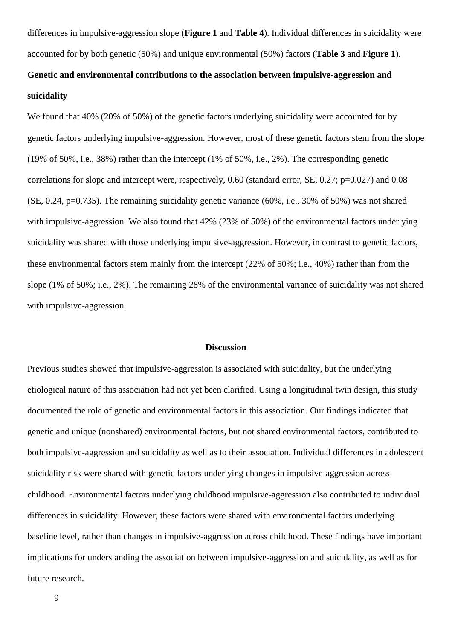differences in impulsive-aggression slope (**Figure 1** and **Table 4**). Individual differences in suicidality were accounted for by both genetic (50%) and unique environmental (50%) factors (**Table 3** and **Figure 1**).

# **Genetic and environmental contributions to the association between impulsive-aggression and suicidality**

We found that 40% (20% of 50%) of the genetic factors underlying suicidality were accounted for by genetic factors underlying impulsive-aggression. However, most of these genetic factors stem from the slope (19% of 50%, i.e., 38%) rather than the intercept (1% of 50%, i.e., 2%). The corresponding genetic correlations for slope and intercept were, respectively, 0.60 (standard error, SE, 0.27; p=0.027) and 0.08 (SE, 0.24, p=0.735). The remaining suicidality genetic variance (60%, i.e., 30% of 50%) was not shared with impulsive-aggression. We also found that 42% (23% of 50%) of the environmental factors underlying suicidality was shared with those underlying impulsive-aggression. However, in contrast to genetic factors, these environmental factors stem mainly from the intercept (22% of 50%; i.e., 40%) rather than from the slope (1% of 50%; i.e., 2%). The remaining 28% of the environmental variance of suicidality was not shared with impulsive-aggression.

#### **Discussion**

Previous studies showed that impulsive-aggression is associated with suicidality, but the underlying etiological nature of this association had not yet been clarified. Using a longitudinal twin design, this study documented the role of genetic and environmental factors in this association. Our findings indicated that genetic and unique (nonshared) environmental factors, but not shared environmental factors, contributed to both impulsive-aggression and suicidality as well as to their association. Individual differences in adolescent suicidality risk were shared with genetic factors underlying changes in impulsive-aggression across childhood. Environmental factors underlying childhood impulsive-aggression also contributed to individual differences in suicidality. However, these factors were shared with environmental factors underlying baseline level, rather than changes in impulsive-aggression across childhood. These findings have important implications for understanding the association between impulsive-aggression and suicidality, as well as for future research.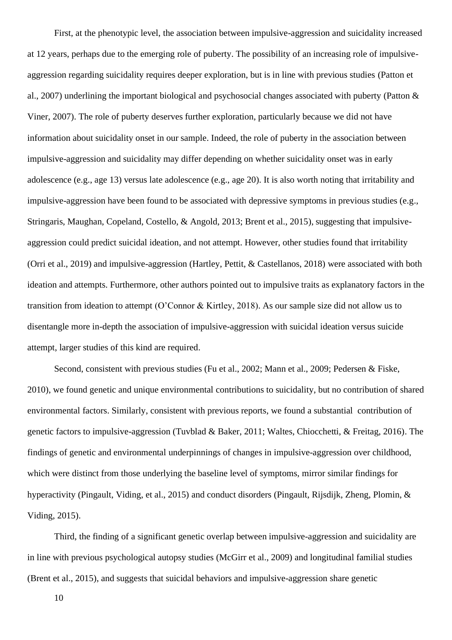First, at the phenotypic level, the association between impulsive-aggression and suicidality increased at 12 years, perhaps due to the emerging role of puberty. The possibility of an increasing role of impulsiveaggression regarding suicidality requires deeper exploration, but is in line with previous studies (Patton et al., 2007) underlining the important biological and psychosocial changes associated with puberty (Patton & Viner, 2007). The role of puberty deserves further exploration, particularly because we did not have information about suicidality onset in our sample. Indeed, the role of puberty in the association between impulsive-aggression and suicidality may differ depending on whether suicidality onset was in early adolescence (e.g., age 13) versus late adolescence (e.g., age 20). It is also worth noting that irritability and impulsive-aggression have been found to be associated with depressive symptoms in previous studies (e.g., Stringaris, Maughan, Copeland, Costello, & Angold, 2013; Brent et al., 2015), suggesting that impulsiveaggression could predict suicidal ideation, and not attempt. However, other studies found that irritability (Orri et al., 2019) and impulsive-aggression (Hartley, Pettit, & Castellanos, 2018) were associated with both ideation and attempts. Furthermore, other authors pointed out to impulsive traits as explanatory factors in the transition from ideation to attempt (O'Connor & Kirtley, 2018). As our sample size did not allow us to disentangle more in-depth the association of impulsive-aggression with suicidal ideation versus suicide attempt, larger studies of this kind are required.

Second, consistent with previous studies (Fu et al., 2002; Mann et al., 2009; Pedersen & Fiske, 2010), we found genetic and unique environmental contributions to suicidality, but no contribution of shared environmental factors. Similarly, consistent with previous reports, we found a substantial contribution of genetic factors to impulsive-aggression (Tuvblad & Baker, 2011; Waltes, Chiocchetti, & Freitag, 2016). The findings of genetic and environmental underpinnings of changes in impulsive-aggression over childhood, which were distinct from those underlying the baseline level of symptoms, mirror similar findings for hyperactivity (Pingault, Viding, et al., 2015) and conduct disorders (Pingault, Rijsdijk, Zheng, Plomin, & Viding, 2015).

Third, the finding of a significant genetic overlap between impulsive-aggression and suicidality are in line with previous psychological autopsy studies (McGirr et al., 2009) and longitudinal familial studies (Brent et al., 2015), and suggests that suicidal behaviors and impulsive-aggression share genetic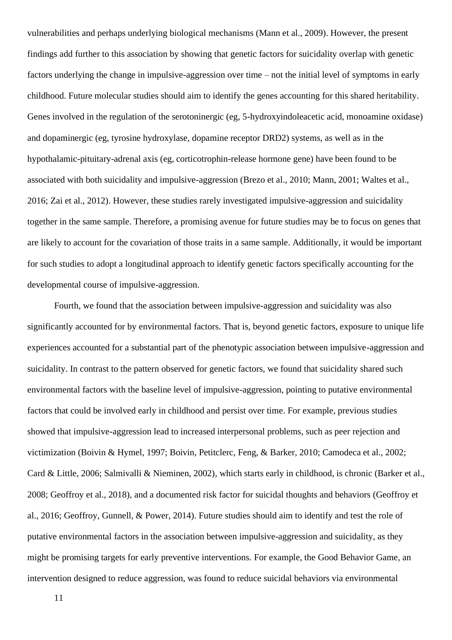vulnerabilities and perhaps underlying biological mechanisms (Mann et al., 2009). However, the present findings add further to this association by showing that genetic factors for suicidality overlap with genetic factors underlying the change in impulsive-aggression over time – not the initial level of symptoms in early childhood. Future molecular studies should aim to identify the genes accounting for this shared heritability. Genes involved in the regulation of the serotoninergic (eg, 5-hydroxyindoleacetic acid, monoamine oxidase) and dopaminergic (eg, tyrosine hydroxylase, dopamine receptor DRD2) systems, as well as in the hypothalamic-pituitary-adrenal axis (eg, corticotrophin-release hormone gene) have been found to be associated with both suicidality and impulsive-aggression (Brezo et al., 2010; Mann, 2001; Waltes et al., 2016; Zai et al., 2012). However, these studies rarely investigated impulsive-aggression and suicidality together in the same sample. Therefore, a promising avenue for future studies may be to focus on genes that are likely to account for the covariation of those traits in a same sample. Additionally, it would be important for such studies to adopt a longitudinal approach to identify genetic factors specifically accounting for the developmental course of impulsive-aggression.

Fourth, we found that the association between impulsive-aggression and suicidality was also significantly accounted for by environmental factors. That is, beyond genetic factors, exposure to unique life experiences accounted for a substantial part of the phenotypic association between impulsive-aggression and suicidality. In contrast to the pattern observed for genetic factors, we found that suicidality shared such environmental factors with the baseline level of impulsive-aggression, pointing to putative environmental factors that could be involved early in childhood and persist over time. For example, previous studies showed that impulsive-aggression lead to increased interpersonal problems, such as peer rejection and victimization (Boivin & Hymel, 1997; Boivin, Petitclerc, Feng, & Barker, 2010; Camodeca et al., 2002; Card & Little, 2006; Salmivalli & Nieminen, 2002), which starts early in childhood, is chronic (Barker et al., 2008; Geoffroy et al., 2018), and a documented risk factor for suicidal thoughts and behaviors (Geoffroy et al., 2016; Geoffroy, Gunnell, & Power, 2014). Future studies should aim to identify and test the role of putative environmental factors in the association between impulsive-aggression and suicidality, as they might be promising targets for early preventive interventions. For example, the Good Behavior Game, an intervention designed to reduce aggression, was found to reduce suicidal behaviors via environmental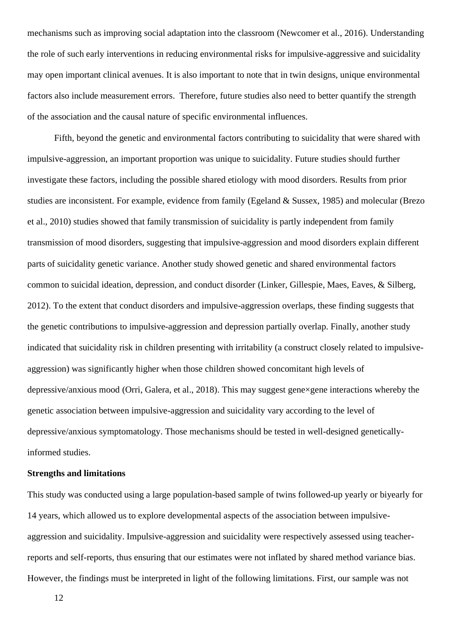mechanisms such as improving social adaptation into the classroom (Newcomer et al., 2016). Understanding the role of such early interventions in reducing environmental risks for impulsive-aggressive and suicidality may open important clinical avenues. It is also important to note that in twin designs, unique environmental factors also include measurement errors. Therefore, future studies also need to better quantify the strength of the association and the causal nature of specific environmental influences.

Fifth, beyond the genetic and environmental factors contributing to suicidality that were shared with impulsive-aggression, an important proportion was unique to suicidality. Future studies should further investigate these factors, including the possible shared etiology with mood disorders. Results from prior studies are inconsistent. For example, evidence from family (Egeland & Sussex, 1985) and molecular (Brezo et al., 2010) studies showed that family transmission of suicidality is partly independent from family transmission of mood disorders, suggesting that impulsive-aggression and mood disorders explain different parts of suicidality genetic variance. Another study showed genetic and shared environmental factors common to suicidal ideation, depression, and conduct disorder (Linker, Gillespie, Maes, Eaves, & Silberg, 2012). To the extent that conduct disorders and impulsive-aggression overlaps, these finding suggests that the genetic contributions to impulsive-aggression and depression partially overlap. Finally, another study indicated that suicidality risk in children presenting with irritability (a construct closely related to impulsiveaggression) was significantly higher when those children showed concomitant high levels of depressive/anxious mood (Orri, Galera, et al., 2018). This may suggest gene×gene interactions whereby the genetic association between impulsive-aggression and suicidality vary according to the level of depressive/anxious symptomatology. Those mechanisms should be tested in well-designed geneticallyinformed studies.

#### **Strengths and limitations**

This study was conducted using a large population-based sample of twins followed-up yearly or biyearly for 14 years, which allowed us to explore developmental aspects of the association between impulsiveaggression and suicidality. Impulsive-aggression and suicidality were respectively assessed using teacherreports and self-reports, thus ensuring that our estimates were not inflated by shared method variance bias. However, the findings must be interpreted in light of the following limitations. First, our sample was not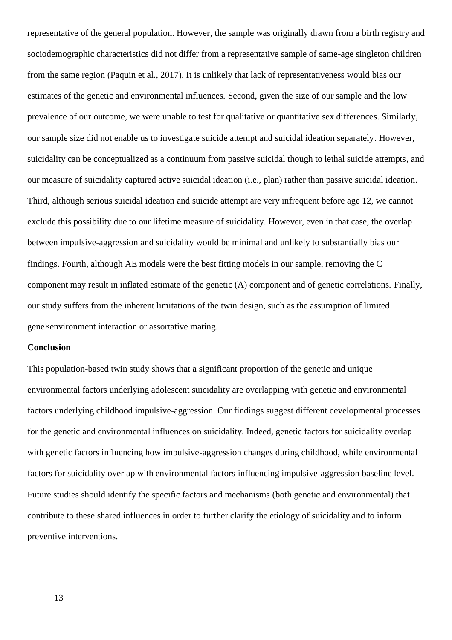representative of the general population. However, the sample was originally drawn from a birth registry and sociodemographic characteristics did not differ from a representative sample of same-age singleton children from the same region (Paquin et al., 2017). It is unlikely that lack of representativeness would bias our estimates of the genetic and environmental influences. Second, given the size of our sample and the low prevalence of our outcome, we were unable to test for qualitative or quantitative sex differences. Similarly, our sample size did not enable us to investigate suicide attempt and suicidal ideation separately. However, suicidality can be conceptualized as a continuum from passive suicidal though to lethal suicide attempts, and our measure of suicidality captured active suicidal ideation (i.e., plan) rather than passive suicidal ideation. Third, although serious suicidal ideation and suicide attempt are very infrequent before age 12, we cannot exclude this possibility due to our lifetime measure of suicidality. However, even in that case, the overlap between impulsive-aggression and suicidality would be minimal and unlikely to substantially bias our findings. Fourth, although AE models were the best fitting models in our sample, removing the C component may result in inflated estimate of the genetic (A) component and of genetic correlations. Finally, our study suffers from the inherent limitations of the twin design, such as the assumption of limited gene×environment interaction or assortative mating.

#### **Conclusion**

This population-based twin study shows that a significant proportion of the genetic and unique environmental factors underlying adolescent suicidality are overlapping with genetic and environmental factors underlying childhood impulsive-aggression. Our findings suggest different developmental processes for the genetic and environmental influences on suicidality. Indeed, genetic factors for suicidality overlap with genetic factors influencing how impulsive-aggression changes during childhood, while environmental factors for suicidality overlap with environmental factors influencing impulsive-aggression baseline level. Future studies should identify the specific factors and mechanisms (both genetic and environmental) that contribute to these shared influences in order to further clarify the etiology of suicidality and to inform preventive interventions.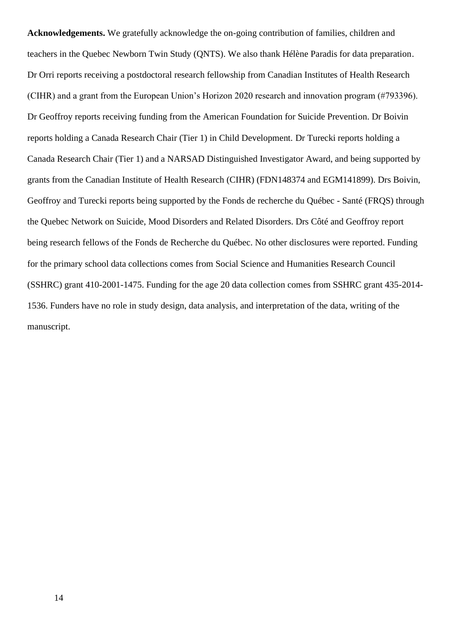**Acknowledgements.** We gratefully acknowledge the on-going contribution of families, children and teachers in the Quebec Newborn Twin Study (QNTS). We also thank Hélène Paradis for data preparation. Dr Orri reports receiving a postdoctoral research fellowship from Canadian Institutes of Health Research (CIHR) and a grant from the European Union's Horizon 2020 research and innovation program (#793396). Dr Geoffroy reports receiving funding from the American Foundation for Suicide Prevention. Dr Boivin reports holding a Canada Research Chair (Tier 1) in Child Development. Dr Turecki reports holding a Canada Research Chair (Tier 1) and a NARSAD Distinguished Investigator Award, and being supported by grants from the Canadian Institute of Health Research (CIHR) (FDN148374 and EGM141899). Drs Boivin, Geoffroy and Turecki reports being supported by the Fonds de recherche du Québec - Santé (FRQS) through the Quebec Network on Suicide, Mood Disorders and Related Disorders. Drs Côté and Geoffroy report being research fellows of the Fonds de Recherche du Québec. No other disclosures were reported. Funding for the primary school data collections comes from Social Science and Humanities Research Council (SSHRC) grant 410-2001-1475. Funding for the age 20 data collection comes from SSHRC grant 435-2014- 1536. Funders have no role in study design, data analysis, and interpretation of the data, writing of the manuscript.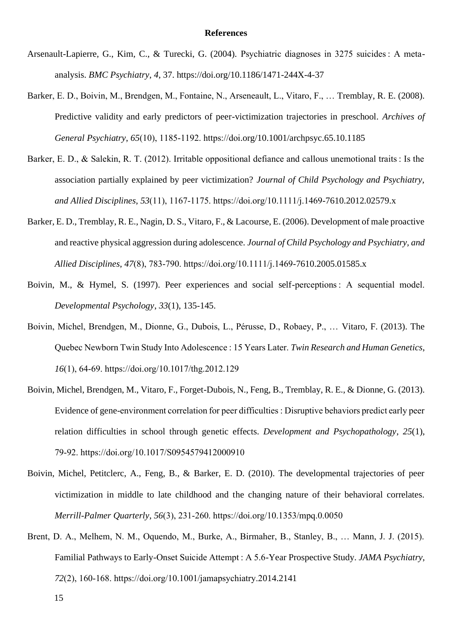#### **References**

- Arsenault-Lapierre, G., Kim, C., & Turecki, G. (2004). Psychiatric diagnoses in 3275 suicides : A metaanalysis. *BMC Psychiatry*, *4*, 37. https://doi.org/10.1186/1471-244X-4-37
- Barker, E. D., Boivin, M., Brendgen, M., Fontaine, N., Arseneault, L., Vitaro, F., … Tremblay, R. E. (2008). Predictive validity and early predictors of peer-victimization trajectories in preschool. *Archives of General Psychiatry*, *65*(10), 1185‑1192. https://doi.org/10.1001/archpsyc.65.10.1185
- Barker, E. D., & Salekin, R. T. (2012). Irritable oppositional defiance and callous unemotional traits : Is the association partially explained by peer victimization? *Journal of Child Psychology and Psychiatry, and Allied Disciplines*, *53*(11), 1167‑1175. https://doi.org/10.1111/j.1469-7610.2012.02579.x
- Barker, E. D., Tremblay, R. E., Nagin, D. S., Vitaro, F., & Lacourse, E. (2006). Development of male proactive and reactive physical aggression during adolescence. *Journal of Child Psychology and Psychiatry, and Allied Disciplines*, *47*(8), 783‑790. https://doi.org/10.1111/j.1469-7610.2005.01585.x
- Boivin, M., & Hymel, S. (1997). Peer experiences and social self-perceptions : A sequential model. *Developmental Psychology*, *33*(1), 135‑145.
- Boivin, Michel, Brendgen, M., Dionne, G., Dubois, L., Pérusse, D., Robaey, P., … Vitaro, F. (2013). The Quebec Newborn Twin Study Into Adolescence : 15 Years Later. *Twin Research and Human Genetics*, *16*(1), 64‑69. https://doi.org/10.1017/thg.2012.129
- Boivin, Michel, Brendgen, M., Vitaro, F., Forget-Dubois, N., Feng, B., Tremblay, R. E., & Dionne, G. (2013). Evidence of gene-environment correlation for peer difficulties : Disruptive behaviors predict early peer relation difficulties in school through genetic effects. *Development and Psychopathology*, *25*(1), 79‑92. https://doi.org/10.1017/S0954579412000910
- Boivin, Michel, Petitclerc, A., Feng, B., & Barker, E. D. (2010). The developmental trajectories of peer victimization in middle to late childhood and the changing nature of their behavioral correlates. *Merrill-Palmer Quarterly*, *56*(3), 231‑260. https://doi.org/10.1353/mpq.0.0050
- Brent, D. A., Melhem, N. M., Oquendo, M., Burke, A., Birmaher, B., Stanley, B., … Mann, J. J. (2015). Familial Pathways to Early-Onset Suicide Attempt : A 5.6-Year Prospective Study. *JAMA Psychiatry*, *72*(2), 160‑168. https://doi.org/10.1001/jamapsychiatry.2014.2141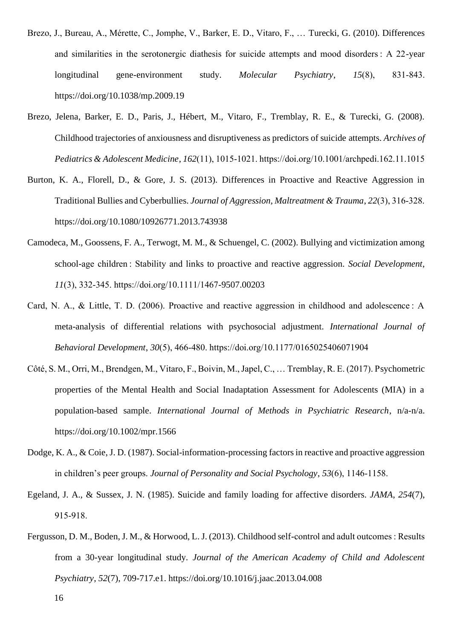- Brezo, J., Bureau, A., Mérette, C., Jomphe, V., Barker, E. D., Vitaro, F., … Turecki, G. (2010). Differences and similarities in the serotonergic diathesis for suicide attempts and mood disorders : A 22-year longitudinal gene-environment study. *Molecular Psychiatry*, *15*(8), 831‑843. https://doi.org/10.1038/mp.2009.19
- Brezo, Jelena, Barker, E. D., Paris, J., Hébert, M., Vitaro, F., Tremblay, R. E., & Turecki, G. (2008). Childhood trajectories of anxiousness and disruptiveness as predictors of suicide attempts. *Archives of Pediatrics & Adolescent Medicine*, *162*(11), 1015‑1021. https://doi.org/10.1001/archpedi.162.11.1015
- Burton, K. A., Florell, D., & Gore, J. S. (2013). Differences in Proactive and Reactive Aggression in Traditional Bullies and Cyberbullies. *Journal of Aggression, Maltreatment & Trauma*, *22*(3), 316‑328. https://doi.org/10.1080/10926771.2013.743938
- Camodeca, M., Goossens, F. A., Terwogt, M. M., & Schuengel, C. (2002). Bullying and victimization among school-age children : Stability and links to proactive and reactive aggression. *Social Development*, *11*(3), 332‑345. https://doi.org/10.1111/1467-9507.00203
- Card, N. A., & Little, T. D. (2006). Proactive and reactive aggression in childhood and adolescence : A meta-analysis of differential relations with psychosocial adjustment. *International Journal of Behavioral Development*, *30*(5), 466‑480. https://doi.org/10.1177/0165025406071904
- Côté, S. M., Orri, M., Brendgen, M., Vitaro, F., Boivin, M., Japel, C., … Tremblay, R. E. (2017). Psychometric properties of the Mental Health and Social Inadaptation Assessment for Adolescents (MIA) in a population-based sample. *International Journal of Methods in Psychiatric Research*, n/a-n/a. https://doi.org/10.1002/mpr.1566
- Dodge, K. A., & Coie, J. D. (1987). Social-information-processing factors in reactive and proactive aggression in children's peer groups. *Journal of Personality and Social Psychology*, *53*(6), 1146‑1158.
- Egeland, J. A., & Sussex, J. N. (1985). Suicide and family loading for affective disorders. *JAMA*, *254*(7), 915‑918.
- Fergusson, D. M., Boden, J. M., & Horwood, L. J. (2013). Childhood self-control and adult outcomes : Results from a 30-year longitudinal study. *Journal of the American Academy of Child and Adolescent Psychiatry*, *52*(7), 709-717.e1. https://doi.org/10.1016/j.jaac.2013.04.008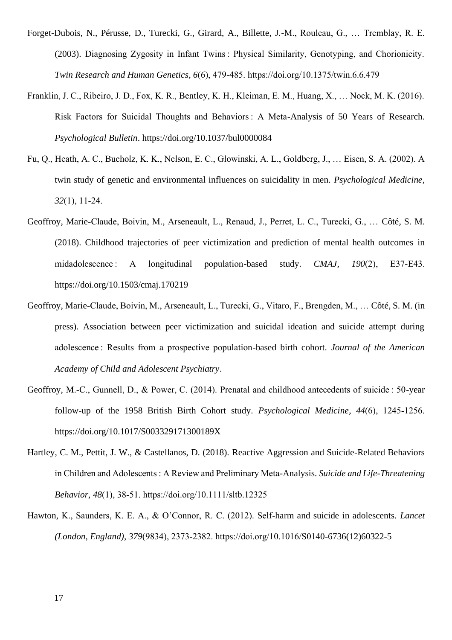Forget-Dubois, N., Pérusse, D., Turecki, G., Girard, A., Billette, J.-M., Rouleau, G., … Tremblay, R. E. (2003). Diagnosing Zygosity in Infant Twins : Physical Similarity, Genotyping, and Chorionicity. *Twin Research and Human Genetics*, *6*(6), 479‑485. https://doi.org/10.1375/twin.6.6.479

- Franklin, J. C., Ribeiro, J. D., Fox, K. R., Bentley, K. H., Kleiman, E. M., Huang, X., … Nock, M. K. (2016). Risk Factors for Suicidal Thoughts and Behaviors : A Meta-Analysis of 50 Years of Research. *Psychological Bulletin*. https://doi.org/10.1037/bul0000084
- Fu, Q., Heath, A. C., Bucholz, K. K., Nelson, E. C., Glowinski, A. L., Goldberg, J., … Eisen, S. A. (2002). A twin study of genetic and environmental influences on suicidality in men. *Psychological Medicine*, *32*(1), 11‑24.
- Geoffroy, Marie-Claude, Boivin, M., Arseneault, L., Renaud, J., Perret, L. C., Turecki, G., … Côté, S. M. (2018). Childhood trajectories of peer victimization and prediction of mental health outcomes in midadolescence : A longitudinal population-based study. *CMAJ*, *190*(2), E37‑E43. https://doi.org/10.1503/cmaj.170219
- Geoffroy, Marie-Claude, Boivin, M., Arseneault, L., Turecki, G., Vitaro, F., Brengden, M., … Côté, S. M. (in press). Association between peer victimization and suicidal ideation and suicide attempt during adolescence : Results from a prospective population-based birth cohort. *Journal of the American Academy of Child and Adolescent Psychiatry*.
- Geoffroy, M.-C., Gunnell, D., & Power, C. (2014). Prenatal and childhood antecedents of suicide : 50-year follow-up of the 1958 British Birth Cohort study. *Psychological Medicine*, *44*(6), 1245‑1256. https://doi.org/10.1017/S003329171300189X
- Hartley, C. M., Pettit, J. W., & Castellanos, D. (2018). Reactive Aggression and Suicide-Related Behaviors in Children and Adolescents : A Review and Preliminary Meta-Analysis. *Suicide and Life-Threatening Behavior*, *48*(1), 38‑51. https://doi.org/10.1111/sltb.12325
- Hawton, K., Saunders, K. E. A., & O'Connor, R. C. (2012). Self-harm and suicide in adolescents. *Lancet (London, England)*, *379*(9834), 2373‑2382. https://doi.org/10.1016/S0140-6736(12)60322-5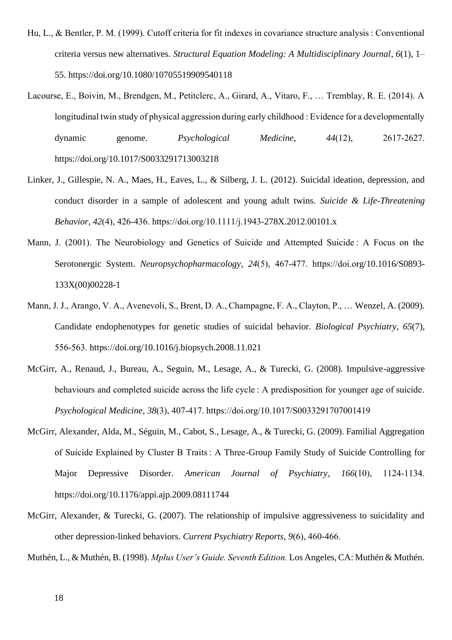- Hu, L., & Bentler, P. M. (1999). Cutoff criteria for fit indexes in covariance structure analysis : Conventional criteria versus new alternatives. *Structural Equation Modeling: A Multidisciplinary Journal*, *6*(1), 1– 55. https://doi.org/10.1080/10705519909540118
- Lacourse, E., Boivin, M., Brendgen, M., Petitclerc, A., Girard, A., Vitaro, F., … Tremblay, R. E. (2014). A longitudinal twin study of physical aggression during early childhood : Evidence for a developmentally dynamic genome. *Psychological Medicine*, *44*(12), 2617‑2627. https://doi.org/10.1017/S0033291713003218
- Linker, J., Gillespie, N. A., Maes, H., Eaves, L., & Silberg, J. L. (2012). Suicidal ideation, depression, and conduct disorder in a sample of adolescent and young adult twins. *Suicide & Life-Threatening Behavior*, *42*(4), 426‑436. https://doi.org/10.1111/j.1943-278X.2012.00101.x
- Mann, J. (2001). The Neurobiology and Genetics of Suicide and Attempted Suicide: A Focus on the Serotonergic System. *Neuropsychopharmacology*, *24*(5), 467‑477. https://doi.org/10.1016/S0893- 133X(00)00228-1
- Mann, J. J., Arango, V. A., Avenevoli, S., Brent, D. A., Champagne, F. A., Clayton, P., … Wenzel, A. (2009). Candidate endophenotypes for genetic studies of suicidal behavior. *Biological Psychiatry*, *65*(7), 556‑563. https://doi.org/10.1016/j.biopsych.2008.11.021
- McGirr, A., Renaud, J., Bureau, A., Seguin, M., Lesage, A., & Turecki, G. (2008). Impulsive-aggressive behaviours and completed suicide across the life cycle : A predisposition for younger age of suicide. *Psychological Medicine*, *38*(3), 407‑417. https://doi.org/10.1017/S0033291707001419
- McGirr, Alexander, Alda, M., Séguin, M., Cabot, S., Lesage, A., & Turecki, G. (2009). Familial Aggregation of Suicide Explained by Cluster B Traits : A Three-Group Family Study of Suicide Controlling for Major Depressive Disorder. *American Journal of Psychiatry*, *166*(10), 1124‑1134. https://doi.org/10.1176/appi.ajp.2009.08111744
- McGirr, Alexander, & Turecki, G. (2007). The relationship of impulsive aggressiveness to suicidality and other depression-linked behaviors. *Current Psychiatry Reports*, *9*(6), 460‑466.
- Muthén, L., & Muthén, B. (1998). *Mplus User's Guide. Seventh Edition.* Los Angeles, CA: Muthén & Muthén.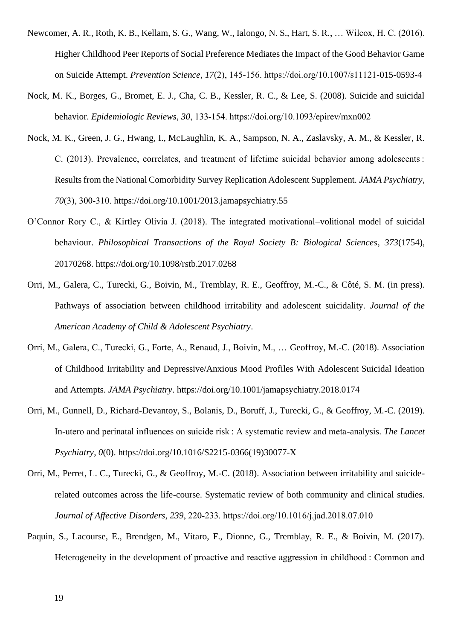- Newcomer, A. R., Roth, K. B., Kellam, S. G., Wang, W., Ialongo, N. S., Hart, S. R., … Wilcox, H. C. (2016). Higher Childhood Peer Reports of Social Preference Mediates the Impact of the Good Behavior Game on Suicide Attempt. *Prevention Science*, *17*(2), 145‑156. https://doi.org/10.1007/s11121-015-0593-4
- Nock, M. K., Borges, G., Bromet, E. J., Cha, C. B., Kessler, R. C., & Lee, S. (2008). Suicide and suicidal behavior. *Epidemiologic Reviews*, *30*, 133‑154. https://doi.org/10.1093/epirev/mxn002
- Nock, M. K., Green, J. G., Hwang, I., McLaughlin, K. A., Sampson, N. A., Zaslavsky, A. M., & Kessler, R. C. (2013). Prevalence, correlates, and treatment of lifetime suicidal behavior among adolescents : Results from the National Comorbidity Survey Replication Adolescent Supplement. *JAMA Psychiatry*, *70*(3), 300‑310. https://doi.org/10.1001/2013.jamapsychiatry.55
- O'Connor Rory C., & Kirtley Olivia J. (2018). The integrated motivational–volitional model of suicidal behaviour. *Philosophical Transactions of the Royal Society B: Biological Sciences*, *373*(1754), 20170268. https://doi.org/10.1098/rstb.2017.0268
- Orri, M., Galera, C., Turecki, G., Boivin, M., Tremblay, R. E., Geoffroy, M.-C., & Côté, S. M. (in press). Pathways of association between childhood irritability and adolescent suicidality. *Journal of the American Academy of Child & Adolescent Psychiatry*.
- Orri, M., Galera, C., Turecki, G., Forte, A., Renaud, J., Boivin, M., … Geoffroy, M.-C. (2018). Association of Childhood Irritability and Depressive/Anxious Mood Profiles With Adolescent Suicidal Ideation and Attempts. *JAMA Psychiatry*. https://doi.org/10.1001/jamapsychiatry.2018.0174
- Orri, M., Gunnell, D., Richard-Devantoy, S., Bolanis, D., Boruff, J., Turecki, G., & Geoffroy, M.-C. (2019). In-utero and perinatal influences on suicide risk : A systematic review and meta-analysis. *The Lancet Psychiatry*, *0*(0). https://doi.org/10.1016/S2215-0366(19)30077-X
- Orri, M., Perret, L. C., Turecki, G., & Geoffroy, M.-C. (2018). Association between irritability and suiciderelated outcomes across the life-course. Systematic review of both community and clinical studies. *Journal of Affective Disorders*, *239*, 220‑233. https://doi.org/10.1016/j.jad.2018.07.010
- Paquin, S., Lacourse, E., Brendgen, M., Vitaro, F., Dionne, G., Tremblay, R. E., & Boivin, M. (2017). Heterogeneity in the development of proactive and reactive aggression in childhood : Common and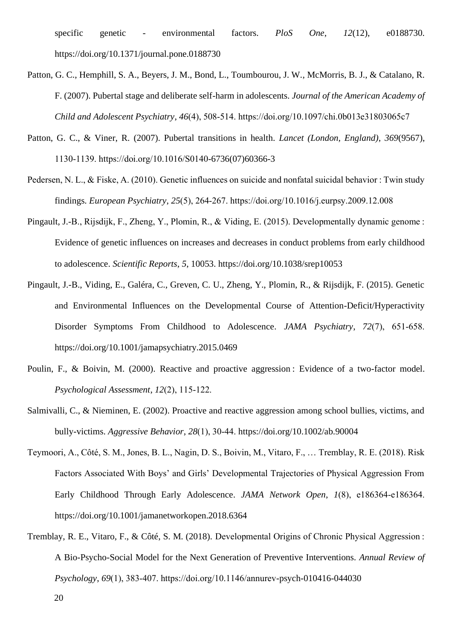specific genetic - environmental factors. *PloS One*, *12*(12), e0188730. https://doi.org/10.1371/journal.pone.0188730

- Patton, G. C., Hemphill, S. A., Beyers, J. M., Bond, L., Toumbourou, J. W., McMorris, B. J., & Catalano, R. F. (2007). Pubertal stage and deliberate self-harm in adolescents. *Journal of the American Academy of Child and Adolescent Psychiatry*, *46*(4), 508‑514. https://doi.org/10.1097/chi.0b013e31803065c7
- Patton, G. C., & Viner, R. (2007). Pubertal transitions in health. *Lancet (London, England)*, *369*(9567), 1130‑1139. https://doi.org/10.1016/S0140-6736(07)60366-3
- Pedersen, N. L., & Fiske, A. (2010). Genetic influences on suicide and nonfatal suicidal behavior : Twin study findings. *European Psychiatry*, *25*(5), 264‑267. https://doi.org/10.1016/j.eurpsy.2009.12.008
- Pingault, J.-B., Rijsdijk, F., Zheng, Y., Plomin, R., & Viding, E. (2015). Developmentally dynamic genome : Evidence of genetic influences on increases and decreases in conduct problems from early childhood to adolescence. *Scientific Reports*, *5*, 10053. https://doi.org/10.1038/srep10053
- Pingault, J.-B., Viding, E., Galéra, C., Greven, C. U., Zheng, Y., Plomin, R., & Rijsdijk, F. (2015). Genetic and Environmental Influences on the Developmental Course of Attention-Deficit/Hyperactivity Disorder Symptoms From Childhood to Adolescence. *JAMA Psychiatry*, *72*(7), 651‑658. https://doi.org/10.1001/jamapsychiatry.2015.0469
- Poulin, F., & Boivin, M. (2000). Reactive and proactive aggression : Evidence of a two-factor model. *Psychological Assessment*, *12*(2), 115‑122.
- Salmivalli, C., & Nieminen, E. (2002). Proactive and reactive aggression among school bullies, victims, and bully-victims. *Aggressive Behavior*, *28*(1), 30‑44. https://doi.org/10.1002/ab.90004
- Teymoori, A., Côté, S. M., Jones, B. L., Nagin, D. S., Boivin, M., Vitaro, F., … Tremblay, R. E. (2018). Risk Factors Associated With Boys' and Girls' Developmental Trajectories of Physical Aggression From Early Childhood Through Early Adolescence. *JAMA Network Open*, *1*(8), e186364‑e186364. https://doi.org/10.1001/jamanetworkopen.2018.6364
- Tremblay, R. E., Vitaro, F., & Côté, S. M. (2018). Developmental Origins of Chronic Physical Aggression : A Bio-Psycho-Social Model for the Next Generation of Preventive Interventions. *Annual Review of Psychology*, *69*(1), 383‑407. https://doi.org/10.1146/annurev-psych-010416-044030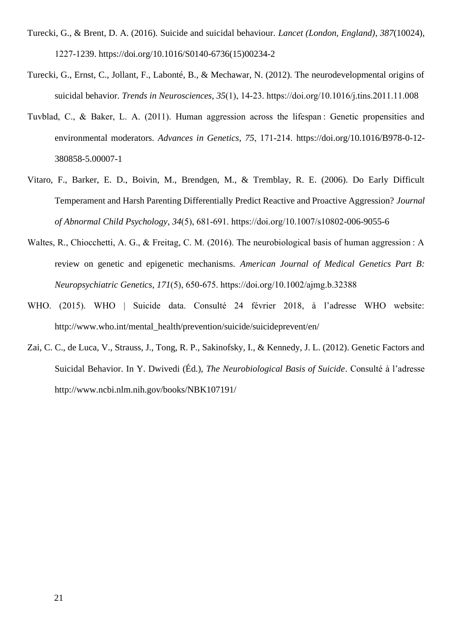- Turecki, G., & Brent, D. A. (2016). Suicide and suicidal behaviour. *Lancet (London, England)*, *387*(10024), 1227‑1239. https://doi.org/10.1016/S0140-6736(15)00234-2
- Turecki, G., Ernst, C., Jollant, F., Labonté, B., & Mechawar, N. (2012). The neurodevelopmental origins of suicidal behavior. *Trends in Neurosciences*, *35*(1), 14‑23. https://doi.org/10.1016/j.tins.2011.11.008
- Tuvblad, C., & Baker, L. A. (2011). Human aggression across the lifespan : Genetic propensities and environmental moderators. *Advances in Genetics*, *75*, 171‑214. https://doi.org/10.1016/B978-0-12- 380858-5.00007-1
- Vitaro, F., Barker, E. D., Boivin, M., Brendgen, M., & Tremblay, R. E. (2006). Do Early Difficult Temperament and Harsh Parenting Differentially Predict Reactive and Proactive Aggression? *Journal of Abnormal Child Psychology*, *34*(5), 681‑691. https://doi.org/10.1007/s10802-006-9055-6
- Waltes, R., Chiocchetti, A. G., & Freitag, C. M. (2016). The neurobiological basis of human aggression : A review on genetic and epigenetic mechanisms. *American Journal of Medical Genetics Part B: Neuropsychiatric Genetics*, *171*(5), 650‑675. https://doi.org/10.1002/ajmg.b.32388
- WHO. (2015). WHO | Suicide data. Consulté 24 février 2018, à l'adresse WHO website: http://www.who.int/mental\_health/prevention/suicide/suicideprevent/en/
- Zai, C. C., de Luca, V., Strauss, J., Tong, R. P., Sakinofsky, I., & Kennedy, J. L. (2012). Genetic Factors and Suicidal Behavior. In Y. Dwivedi (Éd.), *The Neurobiological Basis of Suicide*. Consulté à l'adresse http://www.ncbi.nlm.nih.gov/books/NBK107191/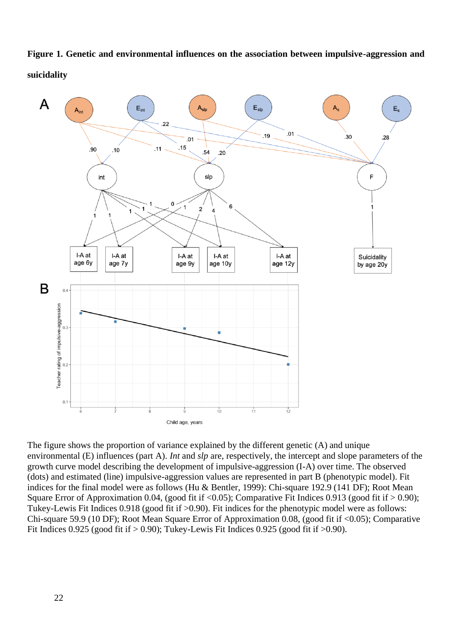**Figure 1. Genetic and environmental influences on the association between impulsive-aggression and suicidality**



The figure shows the proportion of variance explained by the different genetic (A) and unique environmental (E) influences (part A). *Int* and *slp* are, respectively, the intercept and slope parameters of the growth curve model describing the development of impulsive-aggression (I-A) over time. The observed (dots) and estimated (line) impulsive-aggression values are represented in part B (phenotypic model). Fit indices for the final model were as follows (Hu & Bentler, 1999): Chi-square 192.9 (141 DF); Root Mean Square Error of Approximation 0.04, (good fit if <0.05); Comparative Fit Indices 0.913 (good fit if > 0.90); Tukey-Lewis Fit Indices 0.918 (good fit if >0.90). Fit indices for the phenotypic model were as follows: Chi-square 59.9 (10 DF); Root Mean Square Error of Approximation 0.08, (good fit if <0.05); Comparative Fit Indices 0.925 (good fit if  $> 0.90$ ); Tukey-Lewis Fit Indices 0.925 (good fit if  $> 0.90$ ).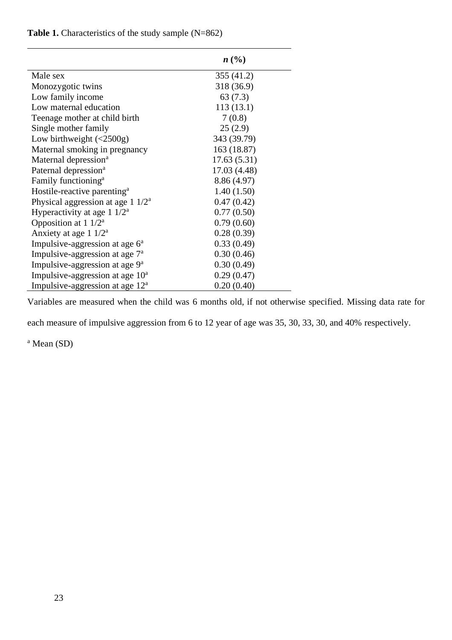## Table 1. Characteristics of the study sample (N=862)

|                                                         | n(%)         |
|---------------------------------------------------------|--------------|
| Male sex                                                | 355 (41.2)   |
| Monozygotic twins                                       | 318 (36.9)   |
| Low family income                                       | 63(7.3)      |
| Low maternal education                                  | 113(13.1)    |
| Teenage mother at child birth                           | 7(0.8)       |
| Single mother family                                    | 25(2.9)      |
| Low birthweight $\left( < 2500 \text{g} \right)$        | 343 (39.79)  |
| Maternal smoking in pregnancy                           | 163 (18.87)  |
| Maternal depression <sup>a</sup>                        | 17.63(5.31)  |
| Paternal depression <sup>a</sup>                        | 17.03 (4.48) |
| Family functioning <sup>a</sup>                         | 8.86 (4.97)  |
| Hostile-reactive parenting <sup>a</sup>                 | 1.40(1.50)   |
| Physical aggression at age $1 \frac{1}{2}$ <sup>a</sup> | 0.47(0.42)   |
| Hyperactivity at age $1 \frac{1}{2}$ <sup>a</sup>       | 0.77(0.50)   |
| Opposition at $1/2^a$                                   | 0.79(0.60)   |
| Anxiety at age $1 \frac{1}{2}$                          | 0.28(0.39)   |
| Impulsive-aggression at age $6a$                        | 0.33(0.49)   |
| Impulsive-aggression at age $7^a$                       | 0.30(0.46)   |
| Impulsive-aggression at age $9^a$                       | 0.30(0.49)   |
| Impulsive-aggression at age $10^a$                      | 0.29(0.47)   |
| Impulsive-aggression at age $12^a$                      | 0.20(0.40)   |

Variables are measured when the child was 6 months old, if not otherwise specified. Missing data rate for

each measure of impulsive aggression from 6 to 12 year of age was 35, 30, 33, 30, and 40% respectively.

<sup>a</sup> Mean (SD)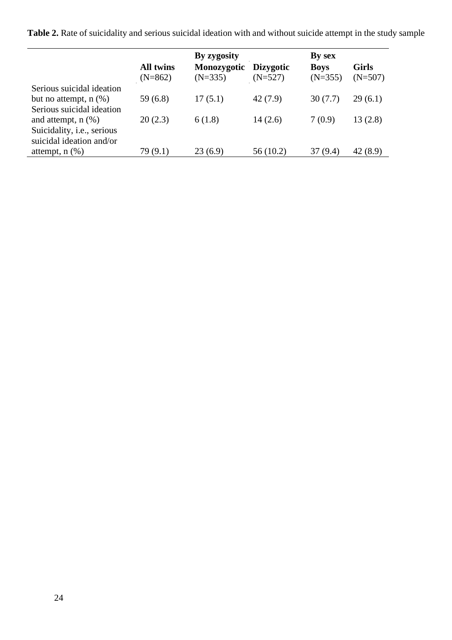**Table 2.** Rate of suicidality and serious suicidal ideation with and without suicide attempt in the study sample

|                            | By zygosity      |             |                  | By sex      |              |  |
|----------------------------|------------------|-------------|------------------|-------------|--------------|--|
|                            | <b>All twins</b> | Monozygotic | <b>Dizygotic</b> | <b>Boys</b> | <b>Girls</b> |  |
|                            | $(N=862)$        | $(N=335)$   | $(N=527)$        | $(N=355)$   | $(N=507)$    |  |
| Serious suicidal ideation  |                  |             |                  |             |              |  |
| but no attempt, $n$ $(\%)$ | 59(6.8)          | 17(5.1)     | 42(7.9)          | 30(7.7)     | 29(6.1)      |  |
| Serious suicidal ideation  |                  |             |                  |             |              |  |
| and attempt, $n$ $(\%)$    | 20(2.3)          | 6(1.8)      | 14(2.6)          | 7(0.9)      | 13(2.8)      |  |
| Suicidality, i.e., serious |                  |             |                  |             |              |  |
| suicidal ideation and/or   |                  |             |                  |             |              |  |
| attempt, $n$ $(\%)$        | 79 (9.1)         | 23(6.9)     | 56(10.2)         | 37 (9.4)    | 42 (8.9)     |  |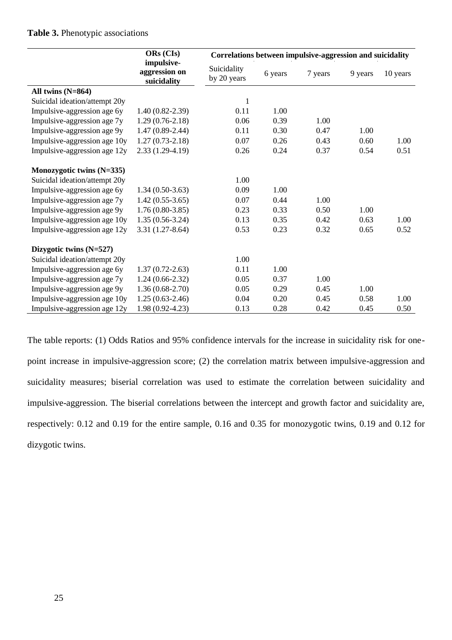#### **Table 3.** Phenotypic associations

|                               | ORs (CIs)                                  | Correlations between impulsive-aggression and suicidality |         |         |         |          |
|-------------------------------|--------------------------------------------|-----------------------------------------------------------|---------|---------|---------|----------|
|                               | impulsive-<br>aggression on<br>suicidality | Suicidality<br>by 20 years                                | 6 years | 7 years | 9 years | 10 years |
| All twins $(N=864)$           |                                            |                                                           |         |         |         |          |
| Suicidal ideation/attempt 20y |                                            | $\mathbf{1}$                                              |         |         |         |          |
| Impulsive-aggression age 6y   | $1.40(0.82 - 2.39)$                        | 0.11                                                      | 1.00    |         |         |          |
| Impulsive-aggression age 7y   | $1.29(0.76-2.18)$                          | 0.06                                                      | 0.39    | 1.00    |         |          |
| Impulsive-aggression age 9y   | $1.47(0.89 - 2.44)$                        | 0.11                                                      | 0.30    | 0.47    | 1.00    |          |
| Impulsive-aggression age 10y  | $1.27(0.73-2.18)$                          | 0.07                                                      | 0.26    | 0.43    | 0.60    | 1.00     |
| Impulsive-aggression age 12y  | $2.33(1.29-4.19)$                          | 0.26                                                      | 0.24    | 0.37    | 0.54    | 0.51     |
| Monozygotic twins (N=335)     |                                            |                                                           |         |         |         |          |
| Suicidal ideation/attempt 20y |                                            | 1.00                                                      |         |         |         |          |
| Impulsive-aggression age 6y   | $1.34(0.50-3.63)$                          | 0.09                                                      | 1.00    |         |         |          |
| Impulsive-aggression age 7y   | $1.42(0.55-3.65)$                          | 0.07                                                      | 0.44    | 1.00    |         |          |
| Impulsive-aggression age 9y   | $1.76(0.80-3.85)$                          | 0.23                                                      | 0.33    | 0.50    | 1.00    |          |
| Impulsive-aggression age 10y  | $1.35(0.56-3.24)$                          | 0.13                                                      | 0.35    | 0.42    | 0.63    | 1.00     |
| Impulsive-aggression age 12y  | $3.31(1.27-8.64)$                          | 0.53                                                      | 0.23    | 0.32    | 0.65    | 0.52     |
| Dizygotic twins (N=527)       |                                            |                                                           |         |         |         |          |
| Suicidal ideation/attempt 20y |                                            | 1.00                                                      |         |         |         |          |
| Impulsive-aggression age 6y   | $1.37(0.72 - 2.63)$                        | 0.11                                                      | 1.00    |         |         |          |
| Impulsive-aggression age 7y   | $1.24(0.66-2.32)$                          | 0.05                                                      | 0.37    | 1.00    |         |          |
| Impulsive-aggression age 9y   | $1.36(0.68-2.70)$                          | 0.05                                                      | 0.29    | 0.45    | 1.00    |          |
| Impulsive-aggression age 10y  | $1.25(0.63-2.46)$                          | 0.04                                                      | 0.20    | 0.45    | 0.58    | 1.00     |
| Impulsive-aggression age 12y  | $1.98(0.92 - 4.23)$                        | 0.13                                                      | 0.28    | 0.42    | 0.45    | 0.50     |

The table reports: (1) Odds Ratios and 95% confidence intervals for the increase in suicidality risk for onepoint increase in impulsive-aggression score; (2) the correlation matrix between impulsive-aggression and suicidality measures; biserial correlation was used to estimate the correlation between suicidality and impulsive-aggression. The biserial correlations between the intercept and growth factor and suicidality are, respectively: 0.12 and 0.19 for the entire sample, 0.16 and 0.35 for monozygotic twins, 0.19 and 0.12 for dizygotic twins.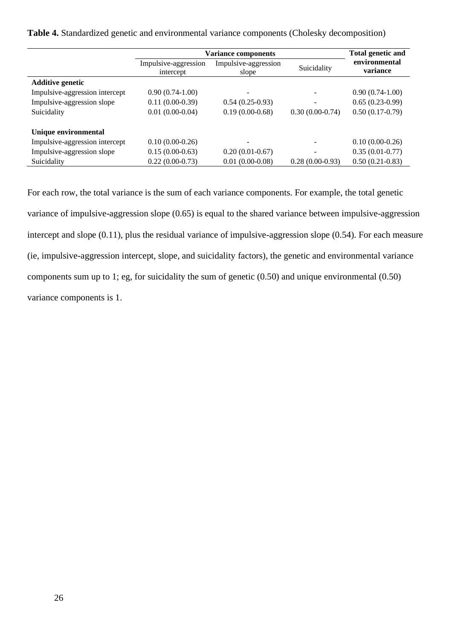**Table 4.** Standardized genetic and environmental variance components (Cholesky decomposition)

|                                | <b>Variance components</b>        | <b>Total genetic and</b>      |                   |                           |  |
|--------------------------------|-----------------------------------|-------------------------------|-------------------|---------------------------|--|
|                                | Impulsive-aggression<br>intercept | Impulsive-aggression<br>slope | Suicidality       | environmental<br>variance |  |
| <b>Additive genetic</b>        |                                   |                               |                   |                           |  |
| Impulsive-aggression intercept | $0.90(0.74-1.00)$                 |                               |                   | $0.90(0.74-1.00)$         |  |
| Impulsive-aggression slope     | $0.11(0.00-0.39)$                 | $0.54(0.25-0.93)$             |                   | $0.65(0.23-0.99)$         |  |
| Suicidality                    | $0.01(0.00-0.04)$                 | $0.19(0.00-0.68)$             | $0.30(0.00-0.74)$ | $0.50(0.17-0.79)$         |  |
| Unique environmental           |                                   |                               |                   |                           |  |
| Impulsive-aggression intercept | $0.10(0.00-0.26)$                 |                               |                   | $0.10(0.00-0.26)$         |  |
| Impulsive-aggression slope     | $0.15(0.00-0.63)$                 | $0.20(0.01-0.67)$             |                   | $0.35(0.01-0.77)$         |  |
| Suicidality                    | $0.22(0.00-0.73)$                 | $0.01(0.00-0.08)$             | $0.28(0.00-0.93)$ | $0.50(0.21-0.83)$         |  |

For each row, the total variance is the sum of each variance components. For example, the total genetic variance of impulsive-aggression slope (0.65) is equal to the shared variance between impulsive-aggression intercept and slope (0.11), plus the residual variance of impulsive-aggression slope (0.54). For each measure (ie, impulsive-aggression intercept, slope, and suicidality factors), the genetic and environmental variance components sum up to 1; eg, for suicidality the sum of genetic (0.50) and unique environmental (0.50) variance components is 1.